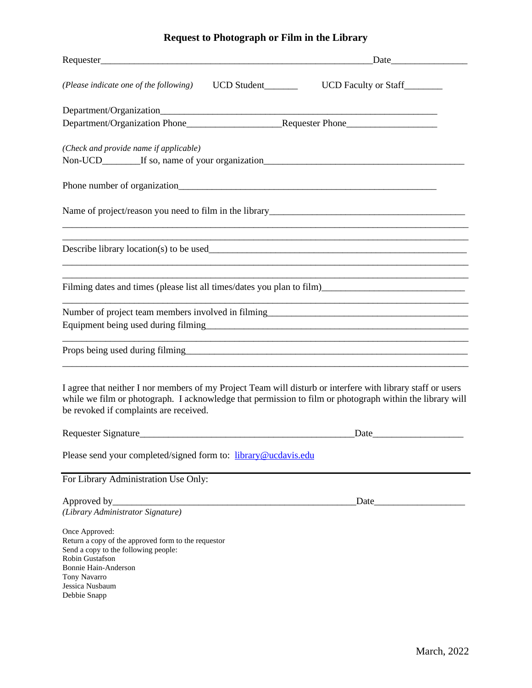## **Request to Photograph or Film in the Library**

|                                                                                                                                                                                                                                                                   | Date                         |
|-------------------------------------------------------------------------------------------------------------------------------------------------------------------------------------------------------------------------------------------------------------------|------------------------------|
| (Please indicate one of the following)<br>UCD Student_________                                                                                                                                                                                                    | UCD Faculty or Staff________ |
|                                                                                                                                                                                                                                                                   |                              |
| (Check and provide name if applicable)<br>Non-UCD__________If so, name of your organization________________________________                                                                                                                                       |                              |
|                                                                                                                                                                                                                                                                   |                              |
| ,我们也不能在这里的人,我们也不能在这里的人,我们也不能在这里的人,我们也不能在这里的人,我们也不能在这里的人,我们也不能在这里的人,我们也不能在这里的人,我们                                                                                                                                                                                  |                              |
| <u> 1980 - Jan Barnett, fransk politik (d. 1980)</u>                                                                                                                                                                                                              |                              |
| Filming dates and times (please list all times/dates you plan to film)______________________________                                                                                                                                                              |                              |
|                                                                                                                                                                                                                                                                   |                              |
|                                                                                                                                                                                                                                                                   |                              |
| I agree that neither I nor members of my Project Team will disturb or interfere with library staff or users<br>while we film or photograph. I acknowledge that permission to film or photograph within the library will<br>be revoked if complaints are received. |                              |
| Requester Signature                                                                                                                                                                                                                                               | Date                         |
| Please send your completed/signed form to: library@ucdavis.edu                                                                                                                                                                                                    |                              |
| For Library Administration Use Only:                                                                                                                                                                                                                              |                              |
|                                                                                                                                                                                                                                                                   | Date                         |
| Once Approved:<br>Return a copy of the approved form to the requestor<br>Send a copy to the following people:<br>Robin Gustafson<br>Bonnie Hain-Anderson<br>Tony Navarro<br>Jessica Nusbaum<br>Debbie Snapp                                                       |                              |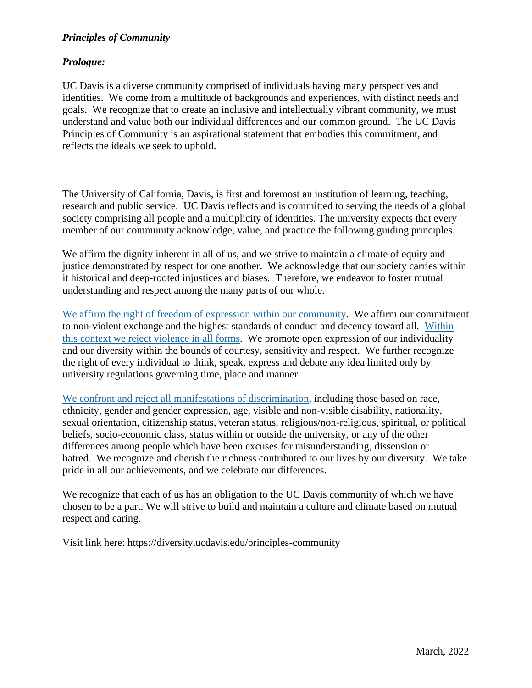## *Principles of Community*

## *Prologue:*

UC Davis is a diverse community comprised of individuals having many perspectives and identities. We come from a multitude of backgrounds and experiences, with distinct needs and goals. We recognize that to create an inclusive and intellectually vibrant community, we must understand and value both our individual differences and our common ground. The UC Davis Principles of Community is an aspirational statement that embodies this commitment, and reflects the ideals we seek to uphold.

The University of California, Davis, is first and foremost an institution of learning, teaching, research and public service. UC Davis reflects and is committed to serving the needs of a global society comprising all people and a multiplicity of identities. The university expects that every member of our community acknowledge, value, and practice the following guiding principles.

We affirm the dignity inherent in all of us, and we strive to maintain a climate of equity and justice demonstrated by respect for one another. We acknowledge that our society carries within it historical and deep-rooted injustices and biases. Therefore, we endeavor to foster mutual understanding and respect among the many parts of our whole.

[We affirm the right of freedom of expression within our community.](https://diversity.ucdavis.edu/affirm-right-freedom-expression) We affirm our commitment to non-violent exchange and the highest standards of conduct and decency toward all. [Within](https://diversity.ucdavis.edu/we-reject-violence-all-forms)  [this context we reject violence in all forms.](https://diversity.ucdavis.edu/we-reject-violence-all-forms) We promote open expression of our individuality and our diversity within the bounds of courtesy, sensitivity and respect. We further recognize the right of every individual to think, speak, express and debate any idea limited only by university regulations governing time, place and manner.

[We confront and reject all manifestations of discrimination,](https://diversity.ucdavis.edu/confront-and-reject-all-manifestations-discrimination) including those based on race, ethnicity, gender and gender expression, age, visible and non-visible disability, nationality, sexual orientation, citizenship status, veteran status, religious/non-religious, spiritual, or political beliefs, socio-economic class, status within or outside the university, or any of the other differences among people which have been excuses for misunderstanding, dissension or hatred. We recognize and cherish the richness contributed to our lives by our diversity. We take pride in all our achievements, and we celebrate our differences.

We recognize that each of us has an obligation to the UC Davis community of which we have chosen to be a part. We will strive to build and maintain a culture and climate based on mutual respect and caring.

Visit link here: https://diversity.ucdavis.edu/principles-community